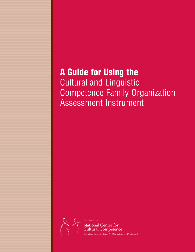## **A Guide for Using the**  Cultural and Linguistic Competence Family Organization Assessment Instrument

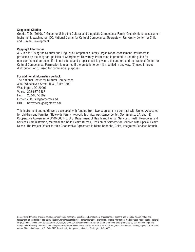#### **Suggested Citation**

Goode, T. D. (2010). A Guide for Using the Cultural and Linguistic Competence Family Organizational Assessment Instrument. Washington, DC: National Center for Cultural Competence, Georgetown University Center for Child and Human Development.

#### **Copyright Information**

A Guide for Using the Cultural and Linguistic Competence Family Organization Assessment Instrument is protected by the copyright policies of Georgetown University. Permission is granted to use the guide for non-commercial purposed if it is not altered and proper credit is given to the authors and the National Center for Cultural Competence. Permission is required if the guide is to be: (1) modified in any way, (2) used in broad distribution, or (3) used for commercial purposes.

#### **For additional information contact:**

The National Center for Cultural Competence 3300 Whitehaven Street, N.W., Suite 3300 Washington, DC 20007 Voice: 202-687-5387 Fax: 202-687-8899 E-mail: cultural@georgetown.edu URL: http://nccc.georgetown.edu

This instrument and guide were developed with funding from two sources: (1) a contract with United Advocates for Children and Families, Statewide Family Network Technical Assistance Center, Sacramento, CA; and (2) Cooperative Agreement # U40MC00145, U.S. Department of Health and Human Services, Health Resources and Services Administration, Maternal and Child Health Bureau, Division of Services for Children with Special Health Needs. The Project Officer for this Cooperative Agreement is Diana Denboba, Chief, Integrated Services Branch.

Georgetown University provides equal opportunity in its programs, activities, and employment practices for all persons and prohibits discrimination and harassment on the basis of age, color, disability, family responsibilities, gender identity or expression, genetic information, marital status, matriculation, national origin, personal appearance, political affiliation, race, religion, sex, sexual orientation, veteran status or another factor prohibited by law. Inquiries regarding Georgetown University's non-discrimination policy may be addressed to the Director of Affirmative Action Programs, Institutional Diversity, Equity & Affirmative Action, 37th and O Streets, N.W., Suite M36, Darnall Hall, Georgetown University, Washington, DC 20005.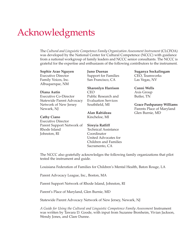# Acknowledgments

The *Cultural and Linguistic Competence Family Organization Assessment Instrument* (CLCFOA) was developed by the National Center for Cultural Competence (NCCC) with guidance from a national workgroup of family leaders and NCCC senior consultants. The NCCC is grateful for the expertise and enthusiasm of the following contributors to the instrument.

## **Sophie Arao Nguyen**

Executive Director Family Voices, Inc. Albuquerque, NM

#### **Diana Autin**

Executive Co-Director Statewide Parent Advocacy Network of New Jersey Newark, NJ

#### **Cathy Ciano**

Executive Director Parent Support Network of Rhode Island Johnston, RI

**Juno Duenas** Support for Families San Francisco, CA

**Sharonlyn Harrison** CEO Public Research and Evaluation Services Southfield, MI

**Alan Rabideau** Kincheloe, MI

**Sireyia Ratliff** Technical Assistance Coordinator United Advocates for Children and Families Sacramento, CA

**Suganya Sockalingam** CEO, Teamworks Las Vegas, NV

**Conni Wells** Axis Group Butler, TN

**Grace Pushparany Williams** Parents Place of Maryland Glen Burnie, MD

The NCCC also gratefully acknowledges the following family organizations that pilot tested the instrument and guide.

Louisiana Federation of Families for Children's Mental Health, Baton Rouge, LA

Parent Advocacy League, Inc., Boston, MA

Parent Support Network of Rhode Island, Johnston, RI

Parent's Place of Maryland, Glen Burnie, MD

Statewide Parent Advocacy Network of New Jersey, Newark, NJ

*A Guide for Using the Cultural and Linguistic Competence Family Assessment* Instrument was written by Tawara D. Goode, with input from Suzanne Bronheim, Vivian Jackson, Wendy Jones, and Clare Dunne.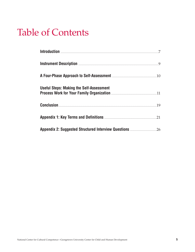# **Table of Contents**

| Instrument Description <b>Execution</b> 2008 2014 01:00 01:00 02:00 02:00 02:00 02:00 03:00 03:00 03:00 03:00 03:00 0  |  |
|------------------------------------------------------------------------------------------------------------------------|--|
|                                                                                                                        |  |
| <b>Useful Steps: Making the Self-Assessment</b><br>Process Work for Your Family Organization <b>Election</b> 21 and 21 |  |
| <b>Conclusion</b> 29                                                                                                   |  |
| Appendix 1: Key Terms and Definitions <b>Election Constrainer 21</b>                                                   |  |
|                                                                                                                        |  |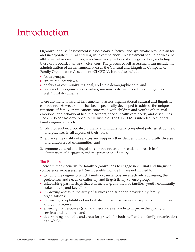## Introduction

Organizational self-assessment is a necessary, effective, and systematic way to plan for and incorporate cultural and linguistic competency. An assessment should address the attitudes, behaviors, policies, structures, and practices of an organization, including those of its board, staff, and volunteers. The process of self-assessment can include the administration of an instrument, such as the Cultural and Linguistic Competence Family Organization Assessment (CLCFOA). It can also include:

- focus groups,
- structured interviews,
- analysis of community, regional, and state demographic data, and
- review of the organization's values, mission, policies, procedures, budget, and web/print documents.

There are many tools and instruments to assess organizational cultural and linguistic competence. However, none has been specifically developed to address the unique functions of family organizations concerned with children and youth with mental, emotional and behavioral health disorders, special health care needs, and disabilities. The CLCFOA was developed to fill this void. The CLCFOA is intended to support family organizations to:

- 1. plan for and incorporate culturally and linguistically competent policies, structures, and practices in all aspects of their work;
- 2. enhance the quality of services and supports they deliver within culturally diverse and underserved communities; and
- 3. promote cultural and linguistic competence as an essential approach in the elimination of disparities and the promotion of equity.

#### **The Benefits**

There are many benefits for family organizations to engage in cultural and linguistic competence self-assessment. Such benefits include but are not limited to:

- gauging the degree to which family organizations are effectively addressing the preferences and needs of culturally and linguistically diverse groups;
- establishing partnerships that will meaningfully involve families, youth, community stakeholders, and key allies;
- improving access to the array of services and supports provided by family organizations;
- increasing acceptability of and satisfaction with services and supports that families and youth receive;
- ensuring that resources (staff and fiscal) are set aside to improve the quality of services and supports; and
- determining strengths and areas for growth for both staff and the family organization as a whole.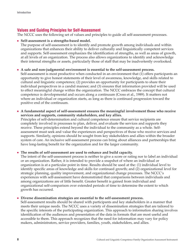## **Values and Guiding Principles for Self-Assessment**

The NCCC uses the following set of values and principles to guide all self-assessment processes.

#### ■ **Self-assessment is a strengths-based model.**

The purpose of self-assessment is to identify and promote growth among individuals and within organizations that enhances their ability to deliver culturally and linguistically competent services and supports. Self-assessment emphasizes the identification of strengths, as well as areas of growth, at all levels of an organization. The process also allows organizations to identify and acknowledge their internal strengths or assets, particularly those of staff that may be inadvertently overlooked.

#### ■ **A safe and non-judgmental environment is essential to the self-assessment process.**

Self-assessment is most productive when conducted in an environment that (1) offers participants an opportunity to give honest statements of their level of awareness, knowledge, and skills related to cultural and linguistic competence; (2) provides an opportunity for participants to share their individual perspectives in a candid manner; and (3) ensures that information provided will be used to effect meaningful change within the organization. The NCCC embraces the concept that cultural competence is developmental and occurs along a continuum (Cross et al., 1989). It matters not where an individual or organization starts, as long as there is continued progression toward the positive end of the continuum.

■ **A fundamental aspect of self-assessment ensures the meaningful involvement those who receive services and supports, community stakeholders, and key allies.**

Principles of self-determination and cultural competence ensure that service recipients are completely involved in processes to plan, deliver, and evaluate the services and supports they receive. These principles extend beyond the individual to the community as a whole. Selfassessment must seek and value the experiences and perspectives of those who receive services and supports. Similarly, opinions should be sought from key stakeholders and allies within the broader system of care. An inclusive self-assessment process can bring about alliances and partnerships that have long-lasting benefit for the organization and for the larger community.

#### ■ **The results of self-assessment are used to enhance and build capacity.**

The intent of the self-assessment process is neither to give a score or rating nor to label an individual or an organization. Rather, it is intended to provide a snapshot of where an individual or organization is at a particular point in time. Results should be used at the: (1) individual level to identify specific areas of knowledge and skills for continued growth; and (2) organizational level for strategic planning, quality improvement, and organizational change processes. The NCCC's experiences with self-assessment have demonstrated that comparisons between individuals and among organizations are of little benefit. Greater benefit is gained from individual and organizational self-comparison over extended periods of time to determine the extent to which growth has occurred.

#### ■ **Diverse dissemination strategies are essential to the self-assessment process.**

Self-assessment results should be shared with participants and key stakeholders in a manner that meets their unique needs. The NCCC uses a variety of dissemination strategies that are tailored to the specific interests of the participating organization. This approach to information sharing involves identification of the audiences and presentation of the data in formats that are most useful and accessible to them. This approach recognizes that the need for information may vary for policy makers, administrators, service providers, families, youth, stakeholders, and allies.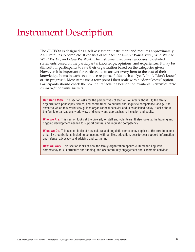## Instrument Description

The CLCFOA is designed as a self-assessment instrument and requires approximately 20-30 minutes to complete. It consists of four sections—*Our World View*, *Who We Are*, *What We Do*, and *How We Work*. The instrument requires responses to detailed statements based on the participant's knowledge, opinions, and experiences. It may be difficult for participants to rate their organization based on the categories given. However, it is important for participants to answer every item to the best of their knowledge. Items in each section use response fields such as "yes", "no", "don't know", or "in progress". Most items use a four-point Likert scale with a "don't know" option. Participants should check the box that reflects the best option available. *Remember, there are no right or wrong answers.*

**Our World View.** This section asks for the perspectives of staff or volunteers about: (1) the family organization's philosophy, values, and commitment to cultural and linguistic competence, and (2) the extent to which this world view guides organizational behavior and is established policy. It asks about the family organization's world view of diversity and approaches to inclusion and equity.

**Who We Are.** This section looks at the diversity of staff and volunteers. It also looks at the training and ongoing development needed to support cultural and linguistic competency.

**What We Do.** This section looks at how cultural and linguistic competency applies to the core functions of family organizations, including connecting with families, education, peer-to-peer support, information and referral, advocacy, and advising and partnering.

**How We Work.** This section looks at how the family organization applies cultural and linguistic competency to: (1) structure and funding, and (2) community engagement and leadership activities.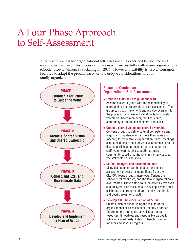## A Four-Phase Approach to Self-Assessment

A four-step process for organizational self-assessment is described below. The NCCC encourages the use of this process and has used it successfully with many organizations (Goode, Brown, Mason, & Sockalingam, 2006). However, flexibility is also encouraged. Feel free to adapt the process based on the unique considerations of your family organization.



#### **Phases to Conduct an Organizational Self-Assessment**

- **Establish a structure to guide the work** Assemble a work group with the responsibility of coordinating the organizational self-assessment. The group can plan, implement, and provide oversight to the process. Be inclusive. Extend invitations to staff, volunteers, board members, families, youth, community partners, stakeholders, and allies.
- **Create a shared vision and shared ownership** Convene groups to define cultural competence and linguistic competence and explore their value and meaning for your family organization. These meetings can be held face-to-face or via teleconference. Ensure diverse participation. Include representation from staff, volunteers, families, youth, partners, community-based organizations in the service area, key stakeholders, and allies.

#### ■ **Collect, analyze, and disseminate data**

Many data sources can be tapped for the selfassessment process including those from the CLCFOA, focus groups, interviews, Census and school enrollment data, and the family organization's own records. These data should be carefully reviewed and analyzed. Use these data to develop a report that celebrates the strengths of your family organization and details areas for growth.

■ **Develop and implement a plan of action**

Create a plan of action using the results of the organizational self-assessment. Identify priorities. Determine the strategies, activities, partners, resources, timetables, and responsible parties to achieve desired goals. Establish benchmarks to monitor and assess progress.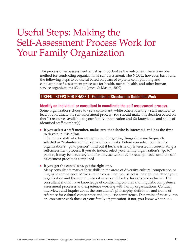## Useful Steps: Making the Self-Assessment Process Work for Your Family Organization

The process of self-assessment is just as important as the outcomes. There is no one method for conducting organizational self-assessment. The NCCC, however, has found the following steps to be useful based on years of experience in planning and conducting self-assessment processes for health, mental health, and other human service organizations (Goode, Jones, & Mason, 2002).

#### **USEFUL STEPS FOR PHASE 1: Establish a Structure to Guide the Work**

#### **Identify an individual or consultant to coordinate the self-assessment process.**

Some organizations choose to use a consultant, while others identify a staff member to lead or coordinate the self-assessment process. You should make this decision based on the: (1) resources available to your family organization and (2) knowledge and skills of identified staff member(s).

■ **If you select a staff member, make sure that she/he is interested and has the time to devote to this effort.**

Oftentimes, staff who have a reputation for getting things done are frequently selected or "volunteered" for yet additional tasks. Before you select your family organization's "go to person", find out if he/she is really interested in coordinating a self-assessment process. If you do indeed select your family organization's "go to" person, it may be necessary to defer decease workload or reassign tasks until the selfassessment process is completed.

■ **If you get the consultant, get the right one.**

Many consultants market their skills in the areas of diversity, cultural competence, or linguistic competence. Make sure the consultant you select is the right match for your organization and the communities it serves and for the tasks to be conducted. The consultant should have knowledge of conducting cultural and linguistic competence assessment processes and experience working with family organizations. Conduct interviews and inquire about the consultant's philosophy, definition, and frame of reference for cultural competence and linguistic competence. Determine if these views are consistent with those of your family organization, if not, you know what to do.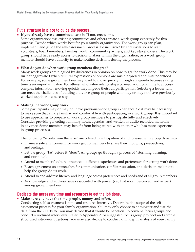### **Put a structure in place to guide the process.**

#### ■ **If you already have a committee…use it. If not, create one.**

Some organizations use existing committees and others create a work group expressly for this purpose. Decide which works best for your family organization. The work group can plan, implement, and guide the self-assessment process. Be inclusive! Extend invitations to staff, volunteers, board members, families, youth, community partners, and key stakeholders. The work group should have ready access to decision makers within the organization, or a work group member should have authority to make routine decisions during the process.

#### ■ **What do you do when work group members disagree?**

Many work groups are plagued by differences in opinion on how to get the work done. This may be further aggravated when cultural expressions of opinions are misinterpreted and misunderstood. For example, some group members may want to move quickly through an agenda because saving time is an important value. For others, who value relationships or need additional time to process complex information, moving quickly may impede their full participation. Selecting a leader who can meet the challenges of guiding a diverse group of people who may or may not have previously worked together is a necessity.

#### ■ **Making the work group work.**

Some participants may or may not have previous work group experience. So it may be necessary to make sure that all are familiar and comfortable with participating in a work group. It is important to use approaches to prepare all work group members to participate fully and effectively. Consider providing meeting summary notes, agendas, and written or audio-recorded materials in advance. Some members may benefit from being paired with another who has more experience in group processes.

The following "words from the wise" are offered in anticipation of and to assist with group dynamics.

- Ensure a safe environment for work group members to share their thoughts, perspectives, and feelings.
- Let the group "be" before it "does". All groups go through a process of "storming, forming, and norming".
- Attend to members' cultural practices—different experiences and preferences for getting work done.
- Reach agreement on approaches for communication, conflict resolution, and decision-making to help the group do its work.
- Attend to and address literacy and language access preferences and needs and of all group members.
- Acknowledge and address issues associated with power (i.e., historical, perceived, and actual) among group members.

#### **Dedicate the necessary time and resources to get the job done.**

#### ■ Make sure you have the time, people, money, and effort.

Conducting self-assessment is time and resource intensive. Determine the scope of the selfassessment process for your family organization. You may only choose to administer and use the data from the CLCFOA. You may decide that it would be beneficial to convene focus groups and conduct structured interviews. Refer to Appendix 2 for suggested focus group protocol and sample structured interview questions. You may also decide to conduct an in depth analysis of your family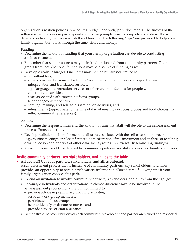organization's written policies, procedures, budget, and web/print documents. The success of the self-assessment process in part depends on allowing ample time to complete each phase. It also depends on having the necessary staff and funding. The following "tips" are provided to help your family organization think through the time, effort and money.

#### Funding

- Determine the amount of funding that your family organization can devote to conducting a self-assessment.
- Remember that some resources may be in-kind or donated from community partners. One-time grants from local/national foundations may be a source of funding as well.
- Develop a realistic budget. Line items may include but are not limited to:
	- consultant fees,
	- stipends or reimbursement for family/youth participation in work group activities,
	- interpretation and translation services,
	- sign language interpretation services or other accommodations for people who experience disabilities,
	- costs associated with convening focus groups,
	- telephone/conference calls,
	- copying, mailing, and related dissemination activities, and
	- refreshments (appropriate to the time of day of meetings or focus groups and food choices that reflect community preferences).

#### **Staffing**

- Determine the responsibilities and the amount of time that staff will devote to the self-assessment process. Protect this time.
- Develop realistic timelines for meeting all tasks associated with the self-assessment process (e.g., routine meetings or teleconferences, administration of the instrument and analysis of resulting data, collection and analysis of other data, focus groups, interviews, disseminating findings).
- Make judicious use of time devoted by community partners, key stakeholders, and family volunteers.

### **Invite community partners, key stakeholders, and allies to the table.**

■ **All aboard!! Get your partners, stakeholders, and allies onboard.**

A self-assessment process that is inclusive of community partners, key stakeholders, and allies provides an opportunity to obtain a rich variety information. Consider the following tips if your family organization chooses this path.

- Extend an invitation to involve community partners, stakeholders, and allies from the "get go".
- Encourage individuals and organizations to choose different ways to be involved in the self-assessment process including but not limited to:
	- provide advice in preliminary planning activities,
	- serve as work group members,
	- participate in focus groups,
	- help to identify or donate resources, and
	- provide services or staff assistance.
- Demonstrate that contributions of each community stakeholder and partner are valued and respected.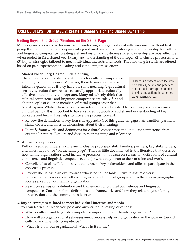## **USEFUL STEPS FOR PHASE 2: Create a Shared Vision and Shared Ownership**

## **Getting Buy-in and Group Members on the Same Page**

Many organizations move forward with conducting an organizational self-assessment without first going through an important step—creating a shared vision and fostering shared ownership for cultural and linguistic competence. Creating a shared vision and fostering shared ownership are most effective when rooted in (1) a shared vocabulary and understanding of the concepts, (2) inclusive processes, and (3) buy-in strategies tailored to meet individual interests and needs. The following insights are offered based on past experiences in leading and conducting these efforts.

## **1. Shared vocabulary, Shared understanding**

There are many concepts and definitions for cultural competence and linguistic competence. Moreover, these terms are often used interchangeably or as if they have the same meaning (e.g., cultural sensitivity, cultural awareness, culturally appropriate, culturally effective, linguistically appropriate). Many mistakenly think that cultural competence and linguistic competence are solely for and about people of color or members of racial groups other than

Culture is a system of collectively held values, beliefs and practices of a particular group that guides thinking and actions in patterned ways. (WENGER, 1993)

Non-Hispanic White. These concepts are relevant for and applicable to all people since we are all cultural beings. It is important to have a shared vocabulary and shared understanding of key concepts and terms. This helps to move the process forward.

- Review the definitions of key terms in Appendix 1 of this guide. Engage staff, families, partners, stakeholders, and allies in discussions about their meanings.
- Identify frameworks and definitions for cultural competence and linguistic competence from existing literature. Explore and discuss their meaning and relevance.

### **2. An inclusive process**

Without a shared understanding and inclusive processes, staff, families, partners, key stakeholders, and allies may not be "on the same page". There is little documented in the literature that describe how family organizations used inclusive processes: (a) to reach consensus on: definitions of cultural competence and linguistic competence, and (b) what they mean to their mission and work.

- Compile a list of staff, families, youth, partners, key stakeholders, and allies to participate in the consensus process.
- Review the list with an eye towards who is not at the table. Strive to assure diverse representation across racial, ethnic, linguistic, and cultural groups within the area or geographic locale served by your family organization.
- Reach consensus on a definition and framework for cultural competence and linguistic competence. Considers these definitions and frameworks and how they relate to your family organization and the communities it serves.

### **3. Buy-in strategies tailored to meet individual interests and needs**

You can learn a lot when you pose and answer the following questions:

- Why is cultural and linguistic competence important to our family organization?
- How will an organizational self-assessment process help our organization in the journey toward cultural and linguistic competence?
- What's in it for our organization? What's in it for me?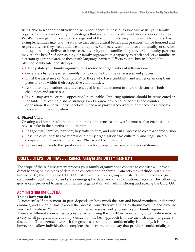Being able to respond positively and with confidence to these questions will assist your family organization to develop "buy in" strategies that are tailored for different stakeholders and allies. What's meaningful for one group or segment of the community may not be same for others. For example, families may want assurance that their cultural beliefs and practices will be honored and respected when they seek guidance and support. Staff may want to improve the quality of services and supports they deliver or increase the diversity of the families they serve. Community partners may see the benefit of increasing your family organization's capacity to reach and serve families in a certain geographic area or those with language barriers. Efforts to get "buy in" should be planned, deliberate, and strategic.

- Clearly state your family organization's reason for organizational self-assessment.
- Generate a list of expected benefits that can come from the self-assessment process.
- Enlist the assistance of "champions" or those who have credibility and influence among their peers and/or within their respective communities.
- Ask other organizations that have engaged in self-assessment to share their stories—both challenges and successes.
- Invite "naysayers" or the "opposition" to the table. Opposing opinions should be represented at the table; they can help shape strategies and approaches to better address and counter opposition. It is particularly beneficial when a naysayer is 'converted' and becomes a credible voice within the opposition.

#### **4. Shared Vision**

Creating a vision for cultural and linguistic competence is a powerful process that enables all to have a stake in the benefits and outcomes.

- Engage staff, families, partners, key stakeholders, and allies in a process to create a shared vision.
- Pose the questions: In five years if our family organization was culturally and linguistically competent, what would it look like? What would be different?
- Review responses to the questions and reach a group consensus on a vision statement.

### **USEFUL STEPS FOR PHASE 3: Collect, Analyze and Disseminate Data**

The scope of the self-assessment process your family organizations chooses to conduct will have a direct bearing on the types of data to be collected and analyzed. Data sets may include, but are not limited to: (1) the completed CLCFOA instrument, (2) focus groups, (3) structured interviews, (4) community, local, regional, and state demographic data, and (5) organizational records. The following guidance is provided to assist your family organization with administering and scoring the CLCFOA.

## **Administering the CLCFOA**

#### **This is how you do it.**

A successful self-assessment, in part, depends on how much the staff and board members understand, embrace, and are enthusiastic about the process. Your "buy in" strategies should have helped pave the way for this phase. You will want to tailor the self-assessment process to your family organization. There are different approaches to consider when using the CLCFOA. Your family organization may be a very small program and you may decide that the best approach is to use the instrument to guide a discussion. This approach works if the group is so small that confidentiality is unlikely. It is best, however, to allow individuals to complete the instrument in a way that provides confidentiality so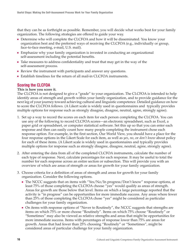that they can be as forthright as possible. Remember, you will decide what works best for your family organization. The following strategies are offered to guide your way.

- Determine who will complete the CLCFOA and how it will be disseminated. You know your organization best and the preferred ways of receiving the CLCFOA (e.g., individually or group, face-to-face meeting, e-mail, U.S. mail).
- Emphasize why your family organization is invested in conducting an organizational self-assessment including the potential benefits.
- Take measures to address confidentiality and trust that may get in the way of the self-assessment process.
- Review the instrument with participants and answer any questions.
- Establish timelines for the return of all mail-in CLCFOA instruments.

## **Scoring the CLCFOA**

#### **This is how you score it.**

The CLCFOA is not designed to give a "grade" to your organization. The CLCFOA is intended to help identify areas of strength and growth within your family organization, and to provide guidance for the next leg of your journey toward achieving cultural and linguistic competence. Detailed guidance on how to score the CLCFOA follows. (A Likert scale is widely used in questionnaires and typically provides multiple options for response such as strongly disagree, disagree, neutral, agree, strongly agree).

- 1. Set up a way to record the scores on each item for each person completing the CLCFOA. You can use any of the following to record CLCFOA scores—an electronic spreadsheet, such as Excel, a paper grid or spreadsheet, or computer statistical software. Set this up so that you can enter each response and then can easily count how many people completing the instrument chose each response option. For example, in the first section, Our World View, you should have a place for the four response options in the Likert Scale for each item, as well as *yes*, *no*, or *don't know* about policy for each of these items. (A Likert scale is widely used in questionnaires and typically provides multiple options for response such as strongly disagree, disagree, neutral, agree, strongly agree).
- 2. After entering the data from all of the completed CLCFOA instruments, calculate the number of each type of response. Next, calculate percentages for each response. It may be useful to total the number for each response across an entire section or subsection. This will provide you with an overview of which are areas of strength or areas for growth for your family organization.
- 3. Choose criteria for a definition of areas of strength and areas for growth for your family organization. Consider the following options.
	- The NCCC suggests that on items with "Yes/No/In progress/Don't know" response options, at least 75% of those completing the CLCFOA choose "yes" would qualify as areas of strength. Areas for growth are those below that level. Items on which a large percentage reported that the activity is "in progress" can be opportunities for more immediate success. Any areas where fewer than 25% of those completing the CLCFOA chose "yes" might be considered as particular challenges for your family organization.
	- On items with response options of "Never to Routinely", the NCCC suggests that strengths are items on which 75% or more choose "Routinely". Items on which 75% choose "Routinely" or "Sometimes" may also be viewed as relative strengths and areas that might be opportunities for more immediate success. Items with percentages of response lower than 75% are areas for growth. Areas that had fewer than 25% choosing "Routinely" or "Sometimes", might be considered areas of particular challenge for your family organization.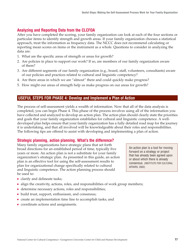## **Analyzing and Reporting Data from the CLCFOA**

After you have completed the scoring, your family organization can look at each of the four sections or particular items to identify strength and growth areas. If your family organization chooses a statistical approach, treat the information as frequency data. The NCCC does not recommend calculating or reporting mean scores on items or the instrument as a whole. Questions to consider in analyzing the data are:

- 1. What are the specific areas of strength or areas for growth?
- 2. Are policies in place to support our work? If so, are members of our family organization aware of them?
- 3. Are different segments of our family organization (e.g., board, staff, volunteers, consultants) aware of our policies and practices related to cultural and linguistic competency?
- 4. Are there areas in which we are "almost" there and could quickly make progress?
- 5. How might our areas of strength help us make progress on our areas for growth?

### **USEFUL STEPS FOR PHASE 4: Develop and Implement a Plan of Action**

The process of self-assessment yields a wealth of information. Now that all of the data analysis is completed, you can begin Phase 4. This phase of the process involves using all of the information you have collected and analyzed to develop an action plan. The action plan should clearly state the priorities and goals that your family organization establishes for cultural and linguistic competence. A welldeveloped plan helps ensure that your family organization has a fully detailed road map for the journey it is undertaking, and that all involved will be knowledgeable about their roles and responsibilities. The following tips are offered to assist with developing and implementing a plan of action.

### **Strategic planning, action planning. What's the difference?**

Many family organizations have strategic plans that set forth broad directions for an established period of time, typically five years or more. An action plan is not a substitute for your family organization's strategic plan. As presented in this guide, an action plan is an effective tool for using the self-assessment results to plan for organizational change specifically related to cultural and linguistic competence. The action planning process should be used to:

An action plan is a tool for moving forward on a strategy or project that has already been agreed upon or about which there is already consensus. (INSTITUTE FOR CULTURAL AFFAIRS, 2002)

- clarify and delineate tasks;
- align the creativity, actions, roles, and responsibilities of work group members;
- determine necessary actions, roles and responsibilities;
- build trust, support, enthusiasm, and consensus;
- create an implementation time line to accomplish tasks; and
- coordinate actions and assignments.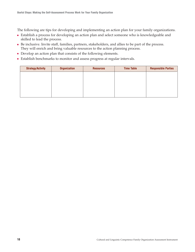The following are tips for developing and implementing an action plan for your family organizations.

- Establish a process for developing an action plan and select someone who is knowledgeable and skilled to lead the process.
- Be inclusive. Invite staff, families, partners, stakeholders, and allies to be part of the process. They will enrich and bring valuable resources to the action planning process.
- Develop an action plan that consists of the following elements.
- Establish benchmarks to monitor and assess progress at regular intervals.

| <b>Strategy/Activity</b> | <b>Organization</b> | <b>Resources</b> | <b>Time Table</b> | <b>Responsible Parties</b> |
|--------------------------|---------------------|------------------|-------------------|----------------------------|
|                          |                     |                  |                   |                            |
|                          |                     |                  |                   |                            |
|                          |                     |                  |                   |                            |
|                          |                     |                  |                   |                            |
|                          |                     |                  |                   |                            |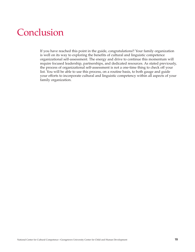## Conclusion

If you have reached this point in the guide, congratulations!! Your family organization is well on its way to exploring the benefits of cultural and linguistic competence organizational self-assessment. The energy and drive to continue this momentum will require focused leadership, partnerships, and dedicated resources. As stated previously, the process of organizational self-assessment is not a one-time thing to check off your list. You will be able to use this process, on a routine basis, to both gauge and guide your efforts to incorporate cultural and linguistic competency within all aspects of your family organization.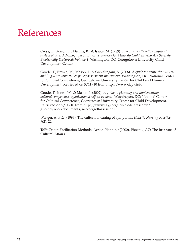## References

Cross, T., Bazron, B., Dennis, K., & Issacs, M. (1989). *Towards a culturally competent system of care: A Monograph on Effective Services for Minority Children Who Are Severely Emotionally Disturbed: Volume 1*. Washington, DC: Georgetown University Child Development Center.

Goode, T., Brown, M., Mason, J., & Sockalingam, S. (2006). *A guide for using the cultural and linguistic competence policy assessment instrument*. Washington, DC: National Center for Cultural Competence, Georgetown University Center for Child and Human Development. Retrieved on 5/11/10 from http://www.clcpa.info

Goode, T., Jones, W., & Mason, J. (2002). *A guide to planning and implementing cultural competence organizational self-assessment*. Washington, DC: National Center for Cultural Competence, Georgetown University Center for Child Development. Retrieved on 5/11/10 from http://www11.georgetown.edu/research/ gucchd/nccc/documents/ncccorgselfassess.pdf

Wenger, A. F .Z. (1993). The cultural meaning of symptoms. *Holistic Nursing Practice, 7*(2), 22.

ToP® Group Facilitation Methods: Action Planning (2000). Phoenix, AZ: The Institute of Cultural Affairs.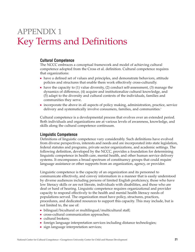## APPENDIX 1 Key Terms and Definitions

### **Cultural Competence**

The NCCC embraces a conceptual framework and model of achieving cultural competence adopted from the Cross et al. definition. Cultural competence requires that organizations:

- have a defined set of values and principles, and demonstrate behaviors, attitude policies and structures that enable them work effectively cross-culturally.
- have the capacity to (1) value diversity, (2) conduct self-assessment, (3) manage the dynamics of difference, (4) acquire and institutionalize cultural knowledge, and (5) adapt to the diversity and cultural contexts of the individuals, families and communities they serve.
- incorporate the above in all aspects of policy making, administration, practice, service delivery and systematically involve consumers, families, and communities.<sup>1</sup>

Cultural competence is a developmental process that evolves over an extended period. Both individuals and organizations are at various levels of awareness, knowledge, and skills along the cultural competence continuum.

### **Linguistic Competence**

Definitions of linguistic competence vary considerably. Such definitions have evolved from diverse perspectives, interests and needs and are incorporated into state legislation, federal statutes and programs, private sector organizations, and academic settings. The following definition, developed by the NCCC, provides a foundation for determining linguistic competence in health care, mental health, and other human service delivery systems. It encompasses a broad spectrum of constituency groups that could require language assistance or other supports from an organization, agency, or provider.

Linguistic competence is the capacity of an organization and its personnel to communicate effectively, and convey information in a manner that is easily understood by diverse audiences including persons of limited English proficiency, those who have low literacy skills or are not literate, individuals with disabilities, and those who are deaf or hard of hearing. Linguistic competence requires organizational and provider capacity to respond effectively to the health and mental health literacy needs of populations served. The organization must have policy, structures, practices, procedures, and dedicated resources to support this capacity. This may include, but is not limited to, the use of:

- bilingual/bicultural or multilingual/multicultural staff;
- cross-cultural communication approaches;
- cultural brokers;
- foreign language interpretation services including distance technologies;
- sign language interpretation services;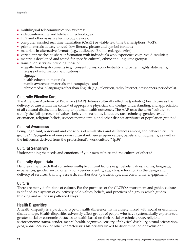- multilingual telecommunication systems;
- videoconferencing and telehealth technologies;
- TTY and other assistive technology devices;
- computer assisted real time translation (CART) or viable real time transcriptions (VRT);
- print materials in easy to read, low literacy, picture and symbol formats;
- materials in alternative formats (e.g., audiotape, Braille, enlarged print);
- varied approaches to share information with individuals who experience cognitive disabilities;
- materials developed and tested for specific cultural, ethnic and linguistic groups;
- translation services including those of:
	- legally binding documents (e.g., consent forms, confidentiality and patient rights statements, release of information, applications)
	- signage
	- health education materials
	- public awareness materials and campaigns; and
	- ethnic media in languages other than English (e.g., television, radio, Internet, newspapers, periodicals).2

## **Culturally Effective Care**

The American Academy of Pediatrics (AAP) defines culturally effective (pediatric) health care as the delivery of care within the context of appropriate physician knowledge, understanding, and appreciation of all cultural distinctions leading to optimal health outcomes. The AAP uses the term "culture" to signify the full spectrum of values, behaviors, customs, language, race, ethnicity, gender, sexual orientation, religious beliefs, socioeconomic status, and other distinct attributes of population groups.3

### **Cultural Awareness**

Being cognizant, observant and conscious of similarities and differences among and between cultural groups.4 "Recognition of one's own cultural influences upon values, beliefs and judgments, as well as the influences derived from the professional's work culture."  $(p.9)^5$ 

## **Cultural Sensitivity**

Understanding the needs and emotions of your own culture and the culture of others.<sup>6</sup>

### **Culturally Appropriate**

Denotes an approach that considers multiple cultural factors (e.g., beliefs, values, norms, language, experiences, gender, sexual orientation/gender identity, age, class, education) in the design and delivery of services, training, research, collaboration/partnerships, and community engagement.<sup>7</sup>

### **Culture**

There are many definitions of culture. For the purposes of the CLCFOA instrument and guide, culture is defined as a system of collectively held values, beliefs, and practices of a group which guides thinking and actions in patterned ways.<sup>8</sup>

### **Health Disparities**

A health disparity is a particular type of health difference that is closely linked with social or economic disadvantage. Health disparities adversely affect groups of people who have systematically experienced greater social or economic obstacles to health based on their racial or ethnic group, religion, socioeconomic status, gender, mental health, cognitive, sensory of physical disability, sexual orientation, geographic location, or other characteristics historically linked to discrimination or exclusion.9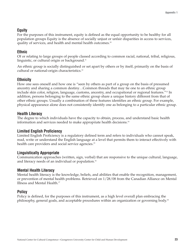## **Equity**

For the purposes of this instrument, equity is defined as the equal opportunity to be healthy for all population groups Equity is the absence of socially unjust or unfair disparities in access to services, quality of services, and health and mental health outcomes.<sup>10</sup>

## **Ethnic**

Of or relating to large groups of people classed according to common racial, national, tribal, religious, linguistic, or cultural origin or background.<sup>11</sup>

An ethnic group is socially distinguished or set apart by others or by itself, primarily on the basis of cultural or national-origin characteristics.<sup>12</sup>

## **Ethnicity**

How one sees oneself and how one is "seen by others as part of a group on the basis of presumed ancestry and sharing a common destiny…Common threads that may tie one to an ethnic group include skin color, religion, language, customs, ancestry, and occupational or regional features."<sup>13</sup> In addition, persons belonging to the same ethnic group share a unique history different from that of other ethnic groups. Usually a combination of these features identifies an ethnic group. For example, physical appearance alone does not consistently identify one as belonging to a particular ethnic group.

## **Health Literacy**

The degree to which individuals have the capacity to obtain, process, and understand basic health information and services needed to make appropriate health decisions.<sup>14</sup>

## **Limited English Proficiency**

Limited English Proficiency is a regulatory defined term and refers to individuals who cannot speak, read, write or understand the English language at a level that permits them to interact effectively with health care providers and social service agencies.<sup>15</sup>

## **Linguistically Appropriate**

Communication approaches (written, sign, verbal) that are responsive to the unique cultural, language, and literacy needs of an individual or population.<sup>16</sup>

## **Mental Health Literacy**

Mental health literacy is the knowledge, beliefs, and abilities that enable the recognition, management, or prevention of mental health problems. Retrieved on 1/28/08 from the Canadian Alliance on Mental Illness and Mental Health.<sup>17</sup>

## **Policy**

Policy is defined, for the purposes of this instrument, as a high level overall plan embracing the philosophy, general goals, and acceptable procedures within an organization or governing body.18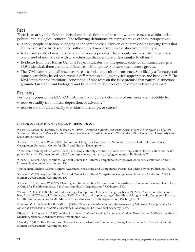## **Race**

There is an array of different beliefs about the definition of race and what race means within social, political and biological contexts. The following definitions are representative of these perspectives:

- A tribe, people or nation belonging to the same stock; a division of humankind possessing traits that are transmissible by descent and sufficient to characterize it as a distinctive human type;
- Is a social construct used to separate the world's peoples. There is only one race, the human race, comprised of individuals with characteristics that are more or less similar to others;<sup>19</sup>
- Evidence from the Human Genome Project indicates that the genetic code for all human beings is 99.9% identical; there are more differences within groups (or races) than across groups.
- The IOM states that in all instances race is a social and cultural construct. Specifically a "construct of human variability based on perceived differences in biology, physical appearance, and behavior".<sup>20</sup> The IOM states that the traditional conception of race rests on the false premise that natural distinctions grounded in significant biological and behavioral differences can be drawn between groups.<sup>21</sup>

## **Resiliency**

For the purposes of the CLCFOA instrument and guide, definitions of resiliency are the ability to:

- $\blacksquare$  recover readily from illness, depression, or adversity;<sup>22</sup>
- recover from or adjust easily to misfortune, change, or stress.<sup>23</sup>

#### **CITATIONS FOR KEY TERMS AND DEFINITIONS**

1 Cross, T., Bazron, B., Dennis, K., & Issacs, M. (1989). *Towards a culturally competent system of care: A Monograph on Effective Services for Minority Children Who Are Severely Emotionally Disturbed: Volume 1*. Washington, DC: Georgetown University Child Development Center.

2 Goode, T. D., & Jones, W. A. (2006). Definition of Linguistic Competence. National Center for Cultural Competence, Georgetown University, Center for Child and Human Development.

3 American Academy of Pediatrics. (2004). Ensuring culturally effective pediatric care: Implications for education and health policy. *Pediatrics*. Retrieved on 6/1/200 from http://www.pediatrics.org/cgi/content/full/114/6/1677

4 Goode, T. (2007). Key Definitions. National Center for Cultural Competence, Georgetown University Center for Child & Human Development, Washington, DC

5 Winkelman, Michael (2005). Cultural Awareness, Sensitivity and Competence. Peosta, IA: Eddie Bowers Publishing Co., Inc.

6 Goode, T. (2007). Key Definitions. National Center for Cultural Competence, Georgetown University Center for Child & Human Development, Washington, DC

7 Goode, T. D., & Jones, W. (2007). Planning and Implementing Culturally and Linguistically Competent Primary Health Care: A Guide for Health Ministries. Pan American Health Organization, Washington, DC.

8 Wenger, A. F. Z. (1993). The cultural meaning of symptoms. Holistic Nursing Practice, 7(2), 22-35. Aspen Publishers, Inc., New York, NY.7Goode, T.D., Jones, W. (2007). Planning and Implementing Culturally and Linguistically Competent Primary Health Care: A Guide for Health Ministries. Pan American Health Organization, Washington, DC

9 Haynes, M. A., & Smedley, B. D. (Eds.). (1999). *The unequal burden of cancer: An assessment of NIH research and programs for ethnic minorities and the medically underserved*. Washington, DC: National Academy Press.

10 Byrd, M., & Clayton, L. (2003). Writing in *Unequal Treatment: Confronting Racial and Ethnic Disparities in Healthcare*. Institute of Medicine, National Academies Press, Washington, DC.

<sup>11</sup> Goode, T. (2007). Key Definitions. National Center for Cultural Competence, Georgetown University Center for Child & Human Development, Washington, DC.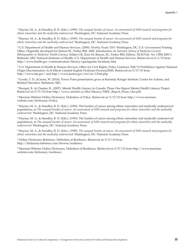12 Haynes, M. A., & Smedley, B. D. (Eds.). (1999). *The unequal burden of cancer: An assessment of NIH research and programs for ethnic minorities and the medically underserved*. Washington, DC: National Academy Press.

13 Haynes, M. A., & Smedley, B. D. (Eds.). (1999). *The unequal burden of cancer: An assessment of NIH research and programs for ethnic minorities and the medically underserved*. Washington, DC: National Academy Press.

14 U.S. Department of Health and Human Services. (2000). *Healthy People 2010.* Washington, DC: U.S. Government Printing Office. Originally developed for Ratzan SC, Parker RM. 2000. Introduction. In *National Library of Medicine Current Bibliographies in Medicine: Health Literacy*. Selden CR, Zorn M, Ratzan, SC, Parker RM, Editors. NLM Pub. No. CBM 2000-1. Bethesda, MD: National Institutes of Health, U.S. Department of Health and Human Services. Retrieved on 6/1/10 from http://www.health.gov/communication/literacy/quickguide/factsbasic.htm

15 U.S. Department of Health & Human Services, Office for Civil Rights, Policy Guidance Title VI Prohibition Against National Origin Discrimination As It Effects Limited English Proficient Persons(2000). Retrieved on 5/17/10 from http://www.lep.gov/ and http://www.justice.gov/crt/cor/13166.php

<sup>16</sup> Goode, T. D., & Jones, W. (2010). Power Point presentation given at Kennedy Krieger Institute, Center for Autism, and Related Disorders. Baltimore, MD.

17 Bourget, B., & Chanier, R., (2007). Mental Health Literacy in Canada: Phase One Report Mental Health Literacy Project. Retrieved on 5/17/10 from http://www.camimh.ca/files/literacy/MHL\_Report\_Phase\_One.pdf.

18 Merriam-Webster Online Dictionary. Definition of Policy. Retrieved on 5/17/10 from http://www.merriamwebster.com/dictionary/Policy.

19 Haynes, M. A., & Smedley, B. D. (Eds.). (1999). The burden of cancer among ethnic minorities and medically underserved populations, in *The unequal burden of cancer: An assessment of NIH research and programs for ethnic minorities and the medically underserved*. Washington, DC: National Academy Press.

20 Haynes, M. A., & Smedley, B. D. (Eds.). (1999). The burden of cancer among ethnic minorities and medically underserved populations, in *The unequal burden of cancer: An assessment of NIH research and programs for ethnic minorities and the medically underserved*. Washington, DC: National Academy Press.

21 Haynes, M. A., & Smedley, B. D. (Eds.). (1999). *The unequal burden of cancer: An assessment of NIH research and programs for ethnic minorities and the medically underserved*. Washington, DC: National Academy Press.

<sup>22</sup> Online Dictionary Reference. Definition of Resilience. Retrieved on 5/17/10 from http://dictionary.reference.com/browse/resilience.

23 Merriam-Webster Online Dictionary. Definition of Resilience. Retrieved on 5/17/10 from http://www.merriamwebster.com/dictionary/resilience.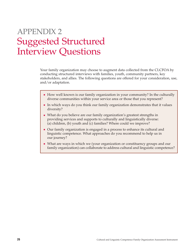## APPENDIX 2 Suggested Structured Interview Questions

Your family organization may choose to augment data collected from the CLCFOA by conducting structured interviews with families, youth, community partners, key stakeholders, and allies. The following questions are offered for your consideration, use, and/or adaptation.

- How well known is our family organization in your community? In the culturally diverse communities within your service area or those that you represent?
- In which ways do you think our family organization demonstrates that it values diversity?
- What do you believe are our family organization's greatest strengths in providing services and supports to culturally and linguistically diverse: (a) children, (b) youth and (c) families? Where could we improve?
- Our family organization is engaged in a process to enhance its cultural and linguistic competence. What approaches do you recommend to help us in our journey?
- What are ways in which we (your organization or constituency groups and our family organization) can collaborate to address cultural and linguistic competence?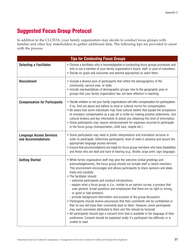## **Suggested Focus Group Protocol**

In addition to the CLCFOA, your family organization may decide to conduct focus groups with families and other key stakeholders to gather additional data. The following tips are provided to assist with the process.

| <b>Tips for Conducting Focus Groups</b>               |                                                                                                                                                                                                                                                                                                                                                                                                                                                                                                                                                                                                                                                                                                                                                                                                                                                                                                                                                                                                                                                                                                |  |
|-------------------------------------------------------|------------------------------------------------------------------------------------------------------------------------------------------------------------------------------------------------------------------------------------------------------------------------------------------------------------------------------------------------------------------------------------------------------------------------------------------------------------------------------------------------------------------------------------------------------------------------------------------------------------------------------------------------------------------------------------------------------------------------------------------------------------------------------------------------------------------------------------------------------------------------------------------------------------------------------------------------------------------------------------------------------------------------------------------------------------------------------------------------|--|
| <b>Selecting a Facilitator</b>                        | • Choose a facilitator who is knowledgeable in conducting focus groups processes and<br>who is not a member of your family organization's board, staff, or pool of volunteers.<br>• Decide on goals and outcomes and desired approaches to reach them.                                                                                                                                                                                                                                                                                                                                                                                                                                                                                                                                                                                                                                                                                                                                                                                                                                         |  |
| <b>Recruitment</b>                                    | • Include a diverse pool of participants that reflect the demographics of the<br>community, service area, or state.<br>• Include representatives of demographic groups new to the geographic area or<br>groups that your family organization has not been effective in reaching.                                                                                                                                                                                                                                                                                                                                                                                                                                                                                                                                                                                                                                                                                                                                                                                                               |  |
| <b>Compensation for Participants</b>                  | . Decide whether or not your family organizations will offer compensation for participation.<br>If so, find out about and adhere to local or cultural norms for compensation.<br>• Be aware that some individuals may have cultural beliefs that equate the acceptance<br>of monetary compensation as a pay off or bribe for making positive statements. Use<br>cultural brokers and key informants to assist you obtaining this kind of information.<br>• Some participants may require reimbursement for expenses incurred to participate<br>in the focus group (transportation, child care, respite etc.).                                                                                                                                                                                                                                                                                                                                                                                                                                                                                  |  |
| <b>Language Access Services</b><br>and Accommodations | • Some participants may need or prefer interpretation and translation services in<br>order to participate. Determine participants' level of need in advance and secure the<br>appropriate language access services.<br>• Ensure that accommodations are made for focus group members who have disabilities<br>and those who are deaf and hard of hearing (e.g., Braille, large print, sign language).                                                                                                                                                                                                                                                                                                                                                                                                                                                                                                                                                                                                                                                                                          |  |
| <b>Getting Started</b>                                | • While family organization staff may give the welcome (initial greetings and<br>acknowledgements), the focus group should not include staff or board members.<br>This environment encourages and allows participants to share opinions and ideas<br>freely and candidly.<br>• The facilitator should:<br>- welcome participants and conduct introductions.<br>- explain what a focus group is (i.e., similar to an opinion survey, a process that<br>uses general, broad questions and emphasizes that there are no right or wrong,<br>or good or bad answers).<br>- provide background information and purpose of the group discussion.<br>• Participants should receive assurances that their comments will be confidential or<br>that no one will trace their comments back to them. However, some participants<br>may want comments attributed to them and this should be honored.<br>• All participants should sign a consent form that is available in the language of their<br>preference. Consent should be explained orally if a participant has difficulty or is<br>unable to read. |  |